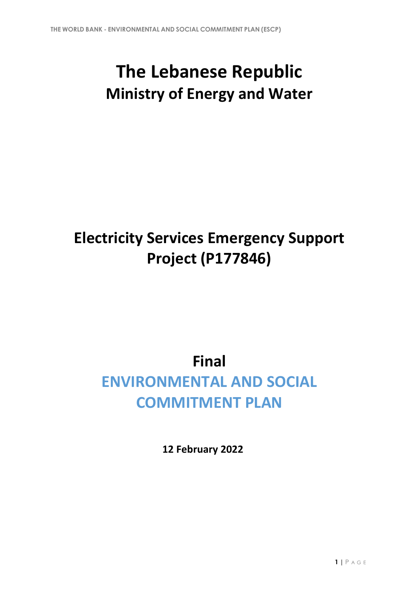# **The Lebanese Republic Ministry of Energy and Water**

## **Electricity Services Emergency Support Project (P177846)**

### **Final**

## **ENVIRONMENTAL AND SOCIAL COMMITMENT PLAN**

**12 February 2022**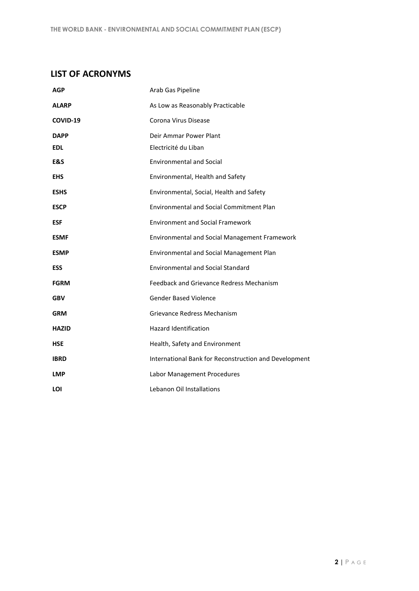#### **LIST OF ACRONYMS**

| <b>AGP</b>   | Arab Gas Pipeline                                     |
|--------------|-------------------------------------------------------|
| <b>ALARP</b> | As Low as Reasonably Practicable                      |
| COVID-19     | Corona Virus Disease                                  |
| <b>DAPP</b>  | Deir Ammar Power Plant                                |
| <b>EDL</b>   | Electricité du Liban                                  |
| E&S          | <b>Environmental and Social</b>                       |
| <b>EHS</b>   | Environmental, Health and Safety                      |
| <b>ESHS</b>  | Environmental, Social, Health and Safety              |
| <b>ESCP</b>  | <b>Environmental and Social Commitment Plan</b>       |
| <b>ESF</b>   | <b>Environment and Social Framework</b>               |
| <b>ESMF</b>  | Environmental and Social Management Framework         |
| <b>ESMP</b>  | Environmental and Social Management Plan              |
| <b>ESS</b>   | <b>Environmental and Social Standard</b>              |
| <b>FGRM</b>  | <b>Feedback and Grievance Redress Mechanism</b>       |
| <b>GBV</b>   | <b>Gender Based Violence</b>                          |
| <b>GRM</b>   | Grievance Redress Mechanism                           |
| <b>HAZID</b> | <b>Hazard Identification</b>                          |
| <b>HSE</b>   | Health, Safety and Environment                        |
| <b>IBRD</b>  | International Bank for Reconstruction and Development |
| <b>LMP</b>   | Labor Management Procedures                           |
| LOI          | Lebanon Oil Installations                             |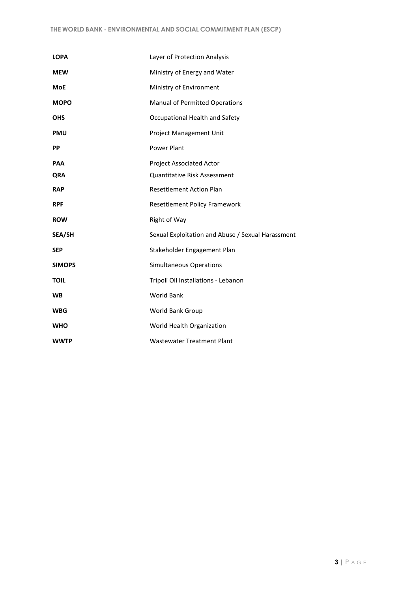| <b>LOPA</b>   | Layer of Protection Analysis                      |
|---------------|---------------------------------------------------|
| <b>MEW</b>    | Ministry of Energy and Water                      |
| <b>MoE</b>    | Ministry of Environment                           |
| <b>MOPO</b>   | <b>Manual of Permitted Operations</b>             |
| <b>OHS</b>    | Occupational Health and Safety                    |
| <b>PMU</b>    | Project Management Unit                           |
| <b>PP</b>     | <b>Power Plant</b>                                |
| <b>PAA</b>    | <b>Project Associated Actor</b>                   |
| <b>QRA</b>    | <b>Quantitative Risk Assessment</b>               |
| <b>RAP</b>    | <b>Resettlement Action Plan</b>                   |
| <b>RPF</b>    | Resettlement Policy Framework                     |
| <b>ROW</b>    | Right of Way                                      |
| <b>SEA/SH</b> | Sexual Exploitation and Abuse / Sexual Harassment |
| <b>SEP</b>    | Stakeholder Engagement Plan                       |
| <b>SIMOPS</b> | <b>Simultaneous Operations</b>                    |
| <b>TOIL</b>   | Tripoli Oil Installations - Lebanon               |
| <b>WB</b>     | World Bank                                        |
| <b>WBG</b>    | World Bank Group                                  |
| <b>WHO</b>    | World Health Organization                         |
| <b>WWTP</b>   | <b>Wastewater Treatment Plant</b>                 |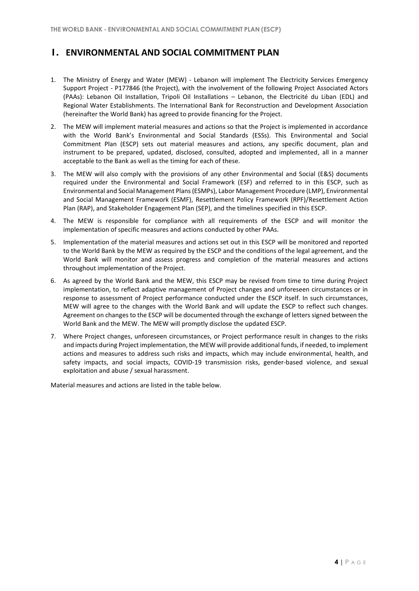#### **1. ENVIRONMENTAL AND SOCIAL COMMITMENT PLAN**

- 1. The Ministry of Energy and Water (MEW) Lebanon will implement The Electricity Services Emergency Support Project - P177846 (the Project), with the involvement of the following Project Associated Actors (PAAs): Lebanon Oil Installation, Tripoli Oil Installations – Lebanon, the Electricité du Liban (EDL) and Regional Water Establishments. The International Bank for Reconstruction and Development Association (hereinafter the World Bank) has agreed to provide financing for the Project.
- 2. The MEW will implement material measures and actions so that the Project is implemented in accordance with the World Bank's Environmental and Social Standards (ESSs). This Environmental and Social Commitment Plan (ESCP) sets out material measures and actions, any specific document, plan and instrument to be prepared, updated, disclosed, consulted, adopted and implemented, all in a manner acceptable to the Bank as well as the timing for each of these.
- 3. The MEW will also comply with the provisions of any other Environmental and Social (E&S) documents required under the Environmental and Social Framework (ESF) and referred to in this ESCP, such as Environmental and Social Management Plans (ESMPs), Labor Management Procedure (LMP), Environmental and Social Management Framework (ESMF), Resettlement Policy Framework (RPF)/Resettlement Action Plan (RAP), and Stakeholder Engagement Plan (SEP), and the timelines specified in this ESCP.
- 4. The MEW is responsible for compliance with all requirements of the ESCP and will monitor the implementation of specific measures and actions conducted by other PAAs.
- 5. Implementation of the material measures and actions set out in this ESCP will be monitored and reported to the World Bank by the MEW as required by the ESCP and the conditions of the legal agreement, and the World Bank will monitor and assess progress and completion of the material measures and actions throughout implementation of the Project.
- 6. As agreed by the World Bank and the MEW, this ESCP may be revised from time to time during Project implementation, to reflect adaptive management of Project changes and unforeseen circumstances or in response to assessment of Project performance conducted under the ESCP itself. In such circumstances, MEW will agree to the changes with the World Bank and will update the ESCP to reflect such changes. Agreement on changes to the ESCP will be documented through the exchange of letters signed between the World Bank and the MEW. The MEW will promptly disclose the updated ESCP.
- 7. Where Project changes, unforeseen circumstances, or Project performance result in changes to the risks and impacts during Project implementation, the MEW will provide additional funds, if needed, to implement actions and measures to address such risks and impacts, which may include environmental, health, and safety impacts, and social impacts, COVID-19 transmission risks, gender-based violence, and sexual exploitation and abuse / sexual harassment.

Material measures and actions are listed in the table below.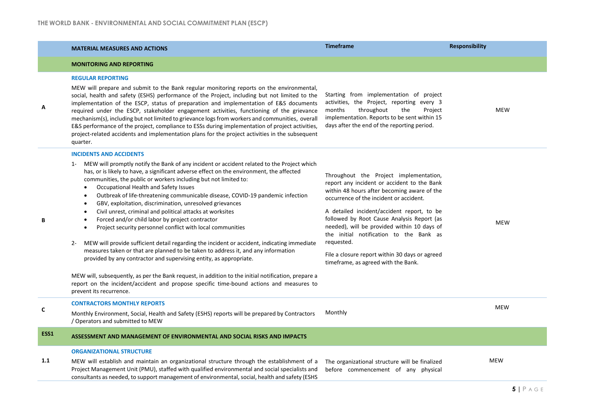Г

|         | <b>MATERIAL MEASURES AND ACTIONS</b>                                                                                                                                                                                                                                                                                                                                                                                                                                                                                                                                                                                                                                                                                                                                                                                                                                                                                                                                                                                                                                                                                                                                                             | <b>Timeframe</b>                                                                                                                                                                                                                                                                                                                                                                                                                                                             | <b>Responsibility</b> |
|---------|--------------------------------------------------------------------------------------------------------------------------------------------------------------------------------------------------------------------------------------------------------------------------------------------------------------------------------------------------------------------------------------------------------------------------------------------------------------------------------------------------------------------------------------------------------------------------------------------------------------------------------------------------------------------------------------------------------------------------------------------------------------------------------------------------------------------------------------------------------------------------------------------------------------------------------------------------------------------------------------------------------------------------------------------------------------------------------------------------------------------------------------------------------------------------------------------------|------------------------------------------------------------------------------------------------------------------------------------------------------------------------------------------------------------------------------------------------------------------------------------------------------------------------------------------------------------------------------------------------------------------------------------------------------------------------------|-----------------------|
|         | <b>MONITORING AND REPORTING</b>                                                                                                                                                                                                                                                                                                                                                                                                                                                                                                                                                                                                                                                                                                                                                                                                                                                                                                                                                                                                                                                                                                                                                                  |                                                                                                                                                                                                                                                                                                                                                                                                                                                                              |                       |
| А       | <b>REGULAR REPORTING</b><br>MEW will prepare and submit to the Bank regular monitoring reports on the environmental,<br>social, health and safety (ESHS) performance of the Project, including but not limited to the<br>implementation of the ESCP, status of preparation and implementation of E&S documents<br>required under the ESCP, stakeholder engagement activities, functioning of the grievance<br>mechanism(s), including but not limited to grievance logs from workers and communities, overall<br>E&S performance of the project, compliance to ESSs during implementation of project activities,<br>project-related accidents and implementation plans for the project activities in the subsequent<br>quarter.                                                                                                                                                                                                                                                                                                                                                                                                                                                                  | Starting from implementation of project<br>activities, the Project, reporting every 3<br>throughout<br>the<br>months<br>Project<br>implementation. Reports to be sent within 15<br>days after the end of the reporting period.                                                                                                                                                                                                                                               | <b>MEW</b>            |
|         | <b>INCIDENTS AND ACCIDENTS</b><br>MEW will promptly notify the Bank of any incident or accident related to the Project which<br>$1 -$<br>has, or is likely to have, a significant adverse effect on the environment, the affected<br>communities, the public or workers including but not limited to:<br>Occupational Health and Safety Issues<br>$\bullet$<br>Outbreak of life-threatening communicable disease, COVID-19 pandemic infection<br>٠<br>GBV, exploitation, discrimination, unresolved grievances<br>$\bullet$<br>Civil unrest, criminal and political attacks at worksites<br>٠<br>Forced and/or child labor by project contractor<br>Project security personnel conflict with local communities<br>$\bullet$<br>MEW will provide sufficient detail regarding the incident or accident, indicating immediate<br>$2 -$<br>measures taken or that are planned to be taken to address it, and any information<br>provided by any contractor and supervising entity, as appropriate.<br>MEW will, subsequently, as per the Bank request, in addition to the initial notification, prepare a<br>report on the incident/accident and propose specific time-bound actions and measures to | Throughout the Project implementation,<br>report any incident or accident to the Bank<br>within 48 hours after becoming aware of the<br>occurrence of the incident or accident.<br>A detailed incident/accident report, to be<br>followed by Root Cause Analysis Report (as<br>needed), will be provided within 10 days of<br>the initial notification to the Bank as<br>requested.<br>File a closure report within 30 days or agreed<br>timeframe, as agreed with the Bank. | <b>MEW</b>            |
| С       | prevent its recurrence.<br><b>CONTRACTORS MONTHLY REPORTS</b><br>Monthly Environment, Social, Health and Safety (ESHS) reports will be prepared by Contractors<br>/ Operators and submitted to MEW                                                                                                                                                                                                                                                                                                                                                                                                                                                                                                                                                                                                                                                                                                                                                                                                                                                                                                                                                                                               | Monthly                                                                                                                                                                                                                                                                                                                                                                                                                                                                      | <b>MEW</b>            |
| ESS1    | ASSESSMENT AND MANAGEMENT OF ENVIRONMENTAL AND SOCIAL RISKS AND IMPACTS                                                                                                                                                                                                                                                                                                                                                                                                                                                                                                                                                                                                                                                                                                                                                                                                                                                                                                                                                                                                                                                                                                                          |                                                                                                                                                                                                                                                                                                                                                                                                                                                                              |                       |
| $1.1\,$ | <b>ORGANIZATIONAL STRUCTURE</b><br>MEW will establish and maintain an organizational structure through the establishment of a<br>Project Management Unit (PMU), staffed with qualified environmental and social specialists and<br>consultants as needed, to support management of environmental, social, health and safety (ESHS                                                                                                                                                                                                                                                                                                                                                                                                                                                                                                                                                                                                                                                                                                                                                                                                                                                                | The organizational structure will be finalized<br>before commencement of any physical                                                                                                                                                                                                                                                                                                                                                                                        | <b>MEW</b>            |
|         |                                                                                                                                                                                                                                                                                                                                                                                                                                                                                                                                                                                                                                                                                                                                                                                                                                                                                                                                                                                                                                                                                                                                                                                                  |                                                                                                                                                                                                                                                                                                                                                                                                                                                                              |                       |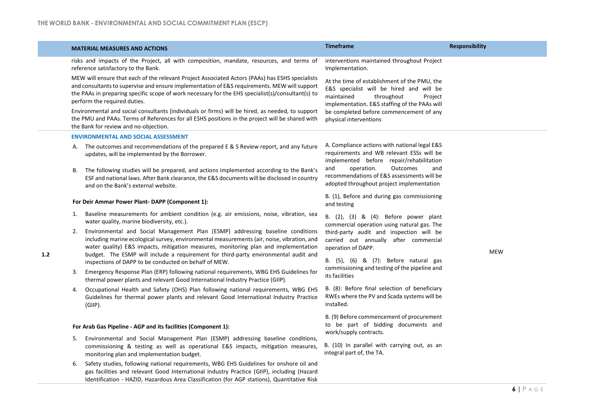|     |                                                                                                                                 | <b>MATERIAL MEASURES AND ACTIONS</b>                                                                                                                                                                                                                                                                                                                                                                                                                                                                                                                                                 | <b>Timeframe</b>                                                                                                                                                                                                                                      | <b>Responsibility</b> |
|-----|---------------------------------------------------------------------------------------------------------------------------------|--------------------------------------------------------------------------------------------------------------------------------------------------------------------------------------------------------------------------------------------------------------------------------------------------------------------------------------------------------------------------------------------------------------------------------------------------------------------------------------------------------------------------------------------------------------------------------------|-------------------------------------------------------------------------------------------------------------------------------------------------------------------------------------------------------------------------------------------------------|-----------------------|
|     | risks and impacts of the Project, all with composition, mandate, resources, and terms of<br>reference satisfactory to the Bank. |                                                                                                                                                                                                                                                                                                                                                                                                                                                                                                                                                                                      | interventions maintained throughout Project<br>Implementation.                                                                                                                                                                                        |                       |
|     |                                                                                                                                 | MEW will ensure that each of the relevant Project Associated Actors (PAAs) has ESHS specialists<br>and consultants to supervise and ensure implementation of E&S requirements. MEW will support<br>the PAAs in preparing specific scope of work necessary for the EHS specialist(s)/consultant(s) to<br>perform the required duties.<br>Environmental and social consultants (individuals or firms) will be hired, as needed, to support<br>the PMU and PAAs. Terms of References for all ESHS positions in the project will be shared with<br>the Bank for review and no-objection. | At the time of establishment of the PMU, the<br>E&S specialist will be hired and will be<br>maintained<br>throughout<br>Project<br>implementation. E&S staffing of the PAAs will<br>be completed before commencement of any<br>physical interventions |                       |
|     |                                                                                                                                 | <b>ENVIRONMENTAL AND SOCIAL ASSESSMENT</b>                                                                                                                                                                                                                                                                                                                                                                                                                                                                                                                                           |                                                                                                                                                                                                                                                       |                       |
|     |                                                                                                                                 | A. The outcomes and recommendations of the prepared E & S Review report, and any future<br>updates, will be implemented by the Borrower.                                                                                                                                                                                                                                                                                                                                                                                                                                             | A. Compliance actions with national legal E&S<br>requirements and WB relevant ESSs will be<br>implemented before repair/rehabilitation                                                                                                                |                       |
|     | В.                                                                                                                              | The following studies will be prepared, and actions implemented according to the Bank's<br>ESF and national laws. After Bank clearance, the E&S documents will be disclosed in country<br>and on the Bank's external website.                                                                                                                                                                                                                                                                                                                                                        | and<br>operation.<br>Outcomes<br>and<br>recommendations of E&S assessments will be<br>adopted throughout project implementation                                                                                                                       |                       |
|     | For Deir Ammar Power Plant-DAPP (Component 1):                                                                                  |                                                                                                                                                                                                                                                                                                                                                                                                                                                                                                                                                                                      | B. (1), Before and during gas commissioning<br>and testing                                                                                                                                                                                            |                       |
|     | 1.                                                                                                                              | Baseline measurements for ambient condition (e.g. air emissions, noise, vibration, sea<br>water quality, marine biodiversity, etc.).                                                                                                                                                                                                                                                                                                                                                                                                                                                 | B. (2), (3) & (4): Before power plant<br>commercial operation using natural gas. The<br>third-party audit and inspection will be<br>carried out annually after commercial<br>operation of DAPP.                                                       |                       |
|     |                                                                                                                                 | 2. Environmental and Social Management Plan (ESMP) addressing baseline conditions<br>including marine ecological survey, environmental measurements (air, noise, vibration, and<br>water quality) E&S impacts, mitigation measures, monitoring plan and implementation<br>budget. The ESMP will include a requirement for third-party environmental audit and<br>inspections of DAPP to be conducted on behalf of MEW.                                                                                                                                                               |                                                                                                                                                                                                                                                       | <b>MEW</b>            |
| 1.2 |                                                                                                                                 |                                                                                                                                                                                                                                                                                                                                                                                                                                                                                                                                                                                      | B. (5), (6) & (7): Before natural gas                                                                                                                                                                                                                 |                       |
|     | 3.                                                                                                                              | Emergency Response Plan (ERP) following national requirements, WBG EHS Guidelines for<br>thermal power plants and relevant Good International Industry Practice (GIIP).                                                                                                                                                                                                                                                                                                                                                                                                              | commissioning and testing of the pipeline and<br>its facilities                                                                                                                                                                                       |                       |
|     | 4.                                                                                                                              | Occupational Health and Safety (OHS) Plan following national requirements, WBG EHS<br>Guidelines for thermal power plants and relevant Good International Industry Practice<br>$(GIP)$ .                                                                                                                                                                                                                                                                                                                                                                                             | B. (8): Before final selection of beneficiary<br>RWEs where the PV and Scada systems will be<br>installed.                                                                                                                                            |                       |
|     |                                                                                                                                 |                                                                                                                                                                                                                                                                                                                                                                                                                                                                                                                                                                                      | B. (9) Before commencement of procurement                                                                                                                                                                                                             |                       |
|     |                                                                                                                                 | For Arab Gas Pipeline - AGP and its facilities (Component 1):                                                                                                                                                                                                                                                                                                                                                                                                                                                                                                                        | to be part of bidding documents and<br>work/supply contracts.                                                                                                                                                                                         |                       |
|     |                                                                                                                                 | 5. Environmental and Social Management Plan (ESMP) addressing baseline conditions,<br>commissioning & testing as well as operational E&S impacts, mitigation measures,<br>monitoring plan and implementation budget.                                                                                                                                                                                                                                                                                                                                                                 | B. (10) In parallel with carrying out, as an<br>integral part of, the TA.                                                                                                                                                                             |                       |
|     | 6.                                                                                                                              | Safety studies, following national requirements, WBG EHS Guidelines for onshore oil and<br>gas facilities and relevant Good International Industry Practice (GIIP), including (Hazard<br>Identification - HAZID, Hazardous Area Classification (for AGP stations), Quantitative Risk                                                                                                                                                                                                                                                                                                 |                                                                                                                                                                                                                                                       |                       |
|     |                                                                                                                                 |                                                                                                                                                                                                                                                                                                                                                                                                                                                                                                                                                                                      |                                                                                                                                                                                                                                                       | $6$   $P$ A G E       |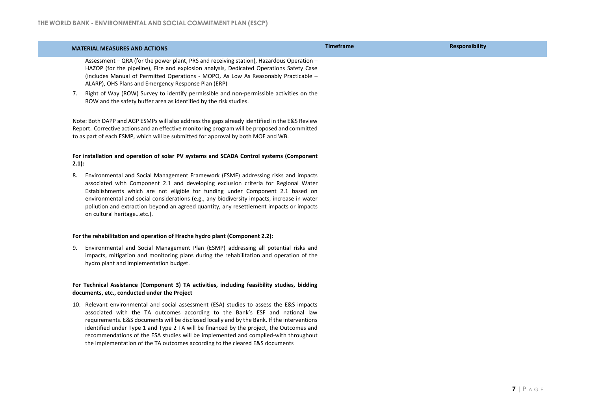|         | <b>MATERIAL MEASURES AND ACTIONS</b>                                                                                                                                                                                                                                                                                                                                                                                                                                                                                                      | <b>Timeframe</b> | <b>Responsibility</b> |
|---------|-------------------------------------------------------------------------------------------------------------------------------------------------------------------------------------------------------------------------------------------------------------------------------------------------------------------------------------------------------------------------------------------------------------------------------------------------------------------------------------------------------------------------------------------|------------------|-----------------------|
|         | Assessment - QRA (for the power plant, PRS and receiving station), Hazardous Operation -<br>HAZOP (for the pipeline), Fire and explosion analysis, Dedicated Operations Safety Case<br>(includes Manual of Permitted Operations - MOPO, As Low As Reasonably Practicable -<br>ALARP), OHS Plans and Emergency Response Plan (ERP)                                                                                                                                                                                                         |                  |                       |
| 7.      | Right of Way (ROW) Survey to identify permissible and non-permissible activities on the<br>ROW and the safety buffer area as identified by the risk studies.                                                                                                                                                                                                                                                                                                                                                                              |                  |                       |
|         | Note: Both DAPP and AGP ESMPs will also address the gaps already identified in the E&S Review<br>Report. Corrective actions and an effective monitoring program will be proposed and committed<br>to as part of each ESMP, which will be submitted for approval by both MOE and WB.                                                                                                                                                                                                                                                       |                  |                       |
| $2.1$ : | For installation and operation of solar PV systems and SCADA Control systems (Component                                                                                                                                                                                                                                                                                                                                                                                                                                                   |                  |                       |
| 8.      | Environmental and Social Management Framework (ESMF) addressing risks and impacts<br>associated with Component 2.1 and developing exclusion criteria for Regional Water<br>Establishments which are not eligible for funding under Component 2.1 based on<br>environmental and social considerations (e.g., any biodiversity impacts, increase in water<br>pollution and extraction beyond an agreed quantity, any resettlement impacts or impacts<br>on cultural heritageetc.).                                                          |                  |                       |
|         | For the rehabilitation and operation of Hrache hydro plant (Component 2.2):                                                                                                                                                                                                                                                                                                                                                                                                                                                               |                  |                       |
| 9.      | Environmental and Social Management Plan (ESMP) addressing all potential risks and<br>impacts, mitigation and monitoring plans during the rehabilitation and operation of the<br>hydro plant and implementation budget.                                                                                                                                                                                                                                                                                                                   |                  |                       |
|         | For Technical Assistance (Component 3) TA activities, including feasibility studies, bidding<br>documents, etc., conducted under the Project                                                                                                                                                                                                                                                                                                                                                                                              |                  |                       |
|         | 10. Relevant environmental and social assessment (ESA) studies to assess the E&S impacts<br>associated with the TA outcomes according to the Bank's ESF and national law<br>requirements. E&S documents will be disclosed locally and by the Bank. If the interventions<br>identified under Type 1 and Type 2 TA will be financed by the project, the Outcomes and<br>recommendations of the ESA studies will be implemented and complied-with throughout<br>the implementation of the TA outcomes according to the cleared E&S documents |                  |                       |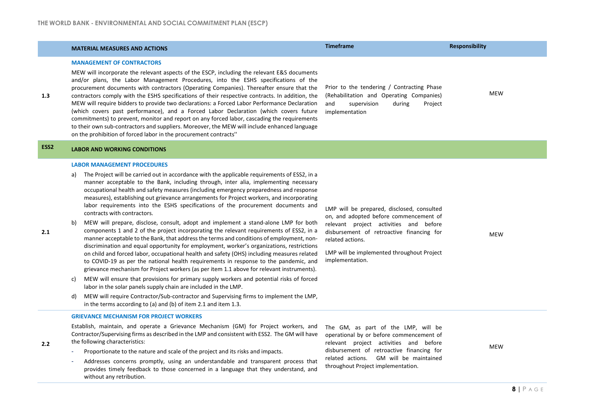provides timely feedback to those concerned in a language that they understand, and

without any retribution.

|                  | <b>MATERIAL MEASURES AND ACTIONS</b>                                                                                                                                                                                                                                                                                                                                                                                                                                                                                                                                                                                                                                                                                                                                                                                                                                                                                                                                                                                                                                                                                                                                                                                                                                                                                                                                                                                                                                                                                                                   | <b>Timeframe</b>                                                                                                                                                                                                                                                       | <b>Responsibility</b> |
|------------------|--------------------------------------------------------------------------------------------------------------------------------------------------------------------------------------------------------------------------------------------------------------------------------------------------------------------------------------------------------------------------------------------------------------------------------------------------------------------------------------------------------------------------------------------------------------------------------------------------------------------------------------------------------------------------------------------------------------------------------------------------------------------------------------------------------------------------------------------------------------------------------------------------------------------------------------------------------------------------------------------------------------------------------------------------------------------------------------------------------------------------------------------------------------------------------------------------------------------------------------------------------------------------------------------------------------------------------------------------------------------------------------------------------------------------------------------------------------------------------------------------------------------------------------------------------|------------------------------------------------------------------------------------------------------------------------------------------------------------------------------------------------------------------------------------------------------------------------|-----------------------|
| 1.3              | <b>MANAGEMENT OF CONTRACTORS</b><br>MEW will incorporate the relevant aspects of the ESCP, including the relevant E&S documents<br>and/or plans, the Labor Management Procedures, into the ESHS specifications of the<br>procurement documents with contractors (Operating Companies). Thereafter ensure that the<br>contractors comply with the ESHS specifications of their respective contracts. In addition, the<br>MEW will require bidders to provide two declarations: a Forced Labor Performance Declaration<br>(which covers past performance), and a Forced Labor Declaration (which covers future<br>commitments) to prevent, monitor and report on any forced labor, cascading the requirements<br>to their own sub-contractors and suppliers. Moreover, the MEW will include enhanced language<br>on the prohibition of forced labor in the procurement contracts"                                                                                                                                                                                                                                                                                                                                                                                                                                                                                                                                                                                                                                                                        | Prior to the tendering / Contracting Phase<br>(Rehabilitation and Operating Companies)<br>supervision<br>during<br>Project<br>and<br>implementation                                                                                                                    | MEW                   |
| ESS <sub>2</sub> | <b>LABOR AND WORKING CONDITIONS</b>                                                                                                                                                                                                                                                                                                                                                                                                                                                                                                                                                                                                                                                                                                                                                                                                                                                                                                                                                                                                                                                                                                                                                                                                                                                                                                                                                                                                                                                                                                                    |                                                                                                                                                                                                                                                                        |                       |
| 2.1              | <b>LABOR MANAGEMENT PROCEDURES</b><br>The Project will be carried out in accordance with the applicable requirements of ESS2, in a<br>a)<br>manner acceptable to the Bank, including through, inter alia, implementing necessary<br>occupational health and safety measures (including emergency preparedness and response<br>measures), establishing out grievance arrangements for Project workers, and incorporating<br>labor requirements into the ESHS specifications of the procurement documents and<br>contracts with contractors.<br>MEW will prepare, disclose, consult, adopt and implement a stand-alone LMP for both<br>b)<br>components 1 and 2 of the project incorporating the relevant requirements of ESS2, in a<br>manner acceptable to the Bank, that address the terms and conditions of employment, non-<br>discrimination and equal opportunity for employment, worker's organizations, restrictions<br>on child and forced labor, occupational health and safety (OHS) including measures related<br>to COVID-19 as per the national health requirements in response to the pandemic, and<br>grievance mechanism for Project workers (as per item 1.1 above for relevant instruments).<br>MEW will ensure that provisions for primary supply workers and potential risks of forced<br>C)<br>labor in the solar panels supply chain are included in the LMP.<br>MEW will require Contractor/Sub-contractor and Supervising firms to implement the LMP,<br>d)<br>in the terms according to (a) and (b) of item 2.1 and item 1.3. | LMP will be prepared, disclosed, consulted<br>on, and adopted before commencement of<br>relevant project activities and before<br>disbursement of retroactive financing for<br>related actions.<br>LMP will be implemented throughout Project<br>implementation.       | MEW                   |
| 2.2 <sub>2</sub> | <b>GRIEVANCE MECHANISM FOR PROJECT WORKERS</b><br>Establish, maintain, and operate a Grievance Mechanism (GM) for Project workers, and<br>Contractor/Supervising firms as described in the LMP and consistent with ESS2. The GM will have<br>the following characteristics:<br>Proportionate to the nature and scale of the project and its risks and impacts.<br>Addresses concerns promptly, using an understandable and transparent process that                                                                                                                                                                                                                                                                                                                                                                                                                                                                                                                                                                                                                                                                                                                                                                                                                                                                                                                                                                                                                                                                                                    | The GM, as part of the LMP, will be<br>operational by or before commencement of<br>relevant project activities and before<br>disbursement of retroactive financing for<br>related actions. GM will be maintained<br>$\mathbf{1}$ , and $\mathbf{2}$ , and $\mathbf{3}$ | <b>MEW</b>            |

throughout Project implementation.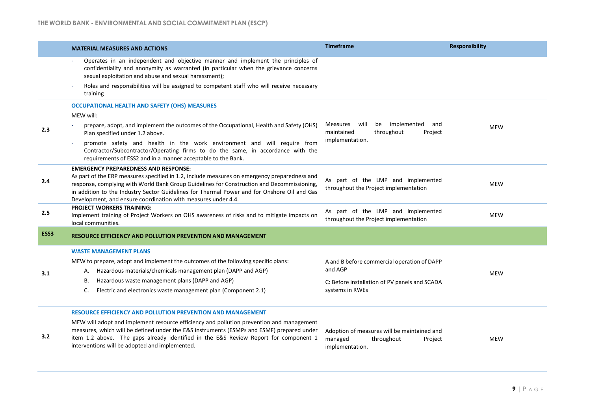|                  | <b>MATERIAL MEASURES AND ACTIONS</b>                                                                                                                                                                                                                                                                                                                                                                      | <b>Timeframe</b>                                                                                                           | <b>Responsibility</b> |  |
|------------------|-----------------------------------------------------------------------------------------------------------------------------------------------------------------------------------------------------------------------------------------------------------------------------------------------------------------------------------------------------------------------------------------------------------|----------------------------------------------------------------------------------------------------------------------------|-----------------------|--|
|                  | Operates in an independent and objective manner and implement the principles of<br>confidentiality and anonymity as warranted (in particular when the grievance concerns<br>sexual exploitation and abuse and sexual harassment);                                                                                                                                                                         |                                                                                                                            |                       |  |
|                  | Roles and responsibilities will be assigned to competent staff who will receive necessary<br>training                                                                                                                                                                                                                                                                                                     |                                                                                                                            |                       |  |
|                  | <b>OCCUPATIONAL HEALTH AND SAFETY (OHS) MEASURES</b>                                                                                                                                                                                                                                                                                                                                                      |                                                                                                                            |                       |  |
|                  | MEW will:                                                                                                                                                                                                                                                                                                                                                                                                 |                                                                                                                            |                       |  |
| 2.3              | prepare, adopt, and implement the outcomes of the Occupational, Health and Safety (OHS)<br>Plan specified under 1.2 above.                                                                                                                                                                                                                                                                                | Measures will<br>be<br>implemented<br>and<br>maintained<br>throughout<br>Project                                           | <b>MEW</b>            |  |
|                  | promote safety and health in the work environment and will require from<br>Contractor/Subcontractor/Operating firms to do the same, in accordance with the<br>requirements of ESS2 and in a manner acceptable to the Bank.                                                                                                                                                                                | implementation.                                                                                                            |                       |  |
| 2.4              | <b>EMERGENCY PREPAREDNESS AND RESPONSE:</b><br>As part of the ERP measures specified in 1.2, include measures on emergency preparedness and<br>response, complying with World Bank Group Guidelines for Construction and Decommissioning,<br>in addition to the Industry Sector Guidelines for Thermal Power and for Onshore Oil and Gas<br>Development, and ensure coordination with measures under 4.4. | As part of the LMP and implemented<br>throughout the Project implementation                                                | <b>MEW</b>            |  |
| 2.5              | <b>PROJECT WORKERS TRAINING:</b><br>Implement training of Project Workers on OHS awareness of risks and to mitigate impacts on<br>local communities.                                                                                                                                                                                                                                                      | As part of the LMP and implemented<br>throughout the Project implementation                                                | <b>MEW</b>            |  |
| ESS <sub>3</sub> | <b>RESOURCE EFFICIENCY AND POLLUTION PREVENTION AND MANAGEMENT</b>                                                                                                                                                                                                                                                                                                                                        |                                                                                                                            |                       |  |
| 3.1              | <b>WASTE MANAGEMENT PLANS</b><br>MEW to prepare, adopt and implement the outcomes of the following specific plans:<br>A. Hazardous materials/chemicals management plan (DAPP and AGP)<br>Hazardous waste management plans (DAPP and AGP)<br>В.<br>Electric and electronics waste management plan (Component 2.1)<br>C.                                                                                    | A and B before commercial operation of DAPP<br>and AGP<br>C: Before installation of PV panels and SCADA<br>systems in RWEs | <b>MEW</b>            |  |
|                  | <b>RESOURCE EFFICIENCY AND POLLUTION PREVENTION AND MANAGEMENT</b>                                                                                                                                                                                                                                                                                                                                        |                                                                                                                            |                       |  |
| 3.2              | MEW will adopt and implement resource efficiency and pollution prevention and management<br>measures, which will be defined under the E&S instruments (ESMPs and ESMF) prepared under<br>item 1.2 above. The gaps already identified in the E&S Review Report for component 1<br>interventions will be adopted and implemented.                                                                           | Adoption of measures will be maintained and<br>managed<br>throughout<br>Project<br>implementation.                         | <b>MEW</b>            |  |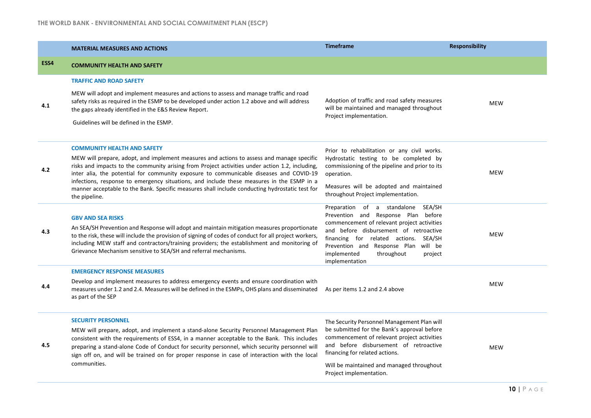|      | <b>MATERIAL MEASURES AND ACTIONS</b>                                                                                                                                                                                                                                                                                                                                                     | <b>Timeframe</b>                                                                                                                                                                  | <b>Responsibility</b> |  |
|------|------------------------------------------------------------------------------------------------------------------------------------------------------------------------------------------------------------------------------------------------------------------------------------------------------------------------------------------------------------------------------------------|-----------------------------------------------------------------------------------------------------------------------------------------------------------------------------------|-----------------------|--|
| ESS4 | <b>COMMUNITY HEALTH AND SAFETY</b>                                                                                                                                                                                                                                                                                                                                                       |                                                                                                                                                                                   |                       |  |
|      | <b>TRAFFIC AND ROAD SAFETY</b>                                                                                                                                                                                                                                                                                                                                                           |                                                                                                                                                                                   |                       |  |
| 4.1  | MEW will adopt and implement measures and actions to assess and manage traffic and road<br>safety risks as required in the ESMP to be developed under action 1.2 above and will address<br>the gaps already identified in the E&S Review Report.                                                                                                                                         | Adoption of traffic and road safety measures<br>will be maintained and managed throughout<br>Project implementation.                                                              | <b>MEW</b>            |  |
|      | Guidelines will be defined in the ESMP.                                                                                                                                                                                                                                                                                                                                                  |                                                                                                                                                                                   |                       |  |
|      | <b>COMMUNITY HEALTH AND SAFETY</b>                                                                                                                                                                                                                                                                                                                                                       | Prior to rehabilitation or any civil works.                                                                                                                                       |                       |  |
| 4.2  | MEW will prepare, adopt, and implement measures and actions to assess and manage specific<br>risks and impacts to the community arising from Project activities under action 1.2, including,<br>inter alia, the potential for community exposure to communicable diseases and COVID-19                                                                                                   | Hydrostatic testing to be completed by<br>commissioning of the pipeline and prior to its<br>operation.                                                                            | <b>MEW</b>            |  |
|      | infections, response to emergency situations, and include these measures in the ESMP in a<br>manner acceptable to the Bank. Specific measures shall include conducting hydrostatic test for<br>the pipeline.                                                                                                                                                                             | Measures will be adopted and maintained<br>throughout Project implementation.                                                                                                     |                       |  |
| 4.3  | <b>GBV AND SEA RISKS</b>                                                                                                                                                                                                                                                                                                                                                                 | Preparation of a standalone SEA/SH<br>Prevention and Response Plan before<br>commencement of relevant project activities                                                          |                       |  |
|      | An SEA/SH Prevention and Response will adopt and maintain mitigation measures proportionate<br>to the risk, these will include the provision of signing of codes of conduct for all project workers,<br>including MEW staff and contractors/training providers; the establishment and monitoring of<br>Grievance Mechanism sensitive to SEA/SH and referral mechanisms.                  | and before disbursement of retroactive<br>financing for related actions. SEA/SH<br>Prevention and Response Plan will be<br>implemented<br>throughout<br>project<br>implementation |                       |  |
|      | <b>EMERGENCY RESPONSE MEASURES</b>                                                                                                                                                                                                                                                                                                                                                       |                                                                                                                                                                                   |                       |  |
| 4.4  | Develop and implement measures to address emergency events and ensure coordination with<br>measures under 1.2 and 2.4. Measures will be defined in the ESMPs, OHS plans and disseminated<br>as part of the SEP                                                                                                                                                                           | As per items 1.2 and 2.4 above                                                                                                                                                    | <b>MEW</b>            |  |
|      | <b>SECURITY PERSONNEL</b>                                                                                                                                                                                                                                                                                                                                                                | The Security Personnel Management Plan will                                                                                                                                       |                       |  |
| 4.5  | MEW will prepare, adopt, and implement a stand-alone Security Personnel Management Plan<br>consistent with the requirements of ESS4, in a manner acceptable to the Bank. This includes<br>preparing a stand-alone Code of Conduct for security personnel, which security personnel will<br>sign off on, and will be trained on for proper response in case of interaction with the local | be submitted for the Bank's approval before<br>commencement of relevant project activities<br>and before disbursement of retroactive<br>financing for related actions.            | <b>MEW</b>            |  |
|      | communities.                                                                                                                                                                                                                                                                                                                                                                             | Will be maintained and managed throughout<br>Project implementation.                                                                                                              |                       |  |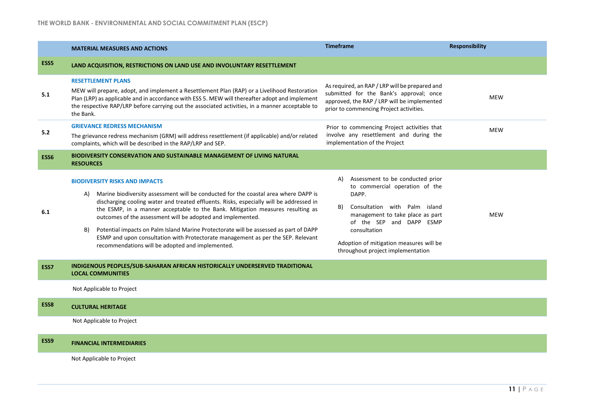|                  | <b>MATERIAL MEASURES AND ACTIONS</b>                                                                                                                                                                                                                                                                                                                                                                                                                                                                                                                                                                                  | <b>Timeframe</b>                                                                                                                                                                                                                                                                         | <b>Responsibility</b> |
|------------------|-----------------------------------------------------------------------------------------------------------------------------------------------------------------------------------------------------------------------------------------------------------------------------------------------------------------------------------------------------------------------------------------------------------------------------------------------------------------------------------------------------------------------------------------------------------------------------------------------------------------------|------------------------------------------------------------------------------------------------------------------------------------------------------------------------------------------------------------------------------------------------------------------------------------------|-----------------------|
| ESS <sub>5</sub> | LAND ACQUISITION, RESTRICTIONS ON LAND USE AND INVOLUNTARY RESETTLEMENT                                                                                                                                                                                                                                                                                                                                                                                                                                                                                                                                               |                                                                                                                                                                                                                                                                                          |                       |
| 5.1              | <b>RESETTLEMENT PLANS</b><br>MEW will prepare, adopt, and implement a Resettlement Plan (RAP) or a Livelihood Restoration<br>Plan (LRP) as applicable and in accordance with ESS 5. MEW will thereafter adopt and implement<br>the respective RAP/LRP before carrying out the associated activities, in a manner acceptable to<br>the Bank.                                                                                                                                                                                                                                                                           | As required, an RAP / LRP will be prepared and<br>submitted for the Bank's approval; once<br>approved, the RAP / LRP will be implemented<br>prior to commencing Project activities.                                                                                                      | <b>MEW</b>            |
| 5.2              | <b>GRIEVANCE REDRESS MECHANISM</b><br>The grievance redress mechanism (GRM) will address resettlement (if applicable) and/or related<br>complaints, which will be described in the RAP/LRP and SEP.                                                                                                                                                                                                                                                                                                                                                                                                                   | Prior to commencing Project activities that<br>involve any resettlement and during the<br>implementation of the Project                                                                                                                                                                  | <b>MEW</b>            |
| ESS6             | <b>BIODIVERSITY CONSERVATION AND SUSTAINABLE MANAGEMENT OF LIVING NATURAL</b><br><b>RESOURCES</b>                                                                                                                                                                                                                                                                                                                                                                                                                                                                                                                     |                                                                                                                                                                                                                                                                                          |                       |
| 6.1              | <b>BIODIVERSITY RISKS AND IMPACTS</b><br>Marine biodiversity assessment will be conducted for the coastal area where DAPP is<br>A)<br>discharging cooling water and treated effluents. Risks, especially will be addressed in<br>the ESMP, in a manner acceptable to the Bank. Mitigation measures resulting as<br>outcomes of the assessment will be adopted and implemented.<br>Potential impacts on Palm Island Marine Protectorate will be assessed as part of DAPP<br>B)<br>ESMP and upon consultation with Protectorate management as per the SEP. Relevant<br>recommendations will be adopted and implemented. | Assessment to be conducted prior<br>A)<br>to commercial operation of the<br>DAPP.<br>B)<br>Consultation with Palm island<br>management to take place as part<br>of the SEP and DAPP ESMP<br>consultation<br>Adoption of mitigation measures will be<br>throughout project implementation | <b>MEW</b>            |
| ESS7             | INDIGENOUS PEOPLES/SUB-SAHARAN AFRICAN HISTORICALLY UNDERSERVED TRADITIONAL<br><b>LOCAL COMMUNITIES</b>                                                                                                                                                                                                                                                                                                                                                                                                                                                                                                               |                                                                                                                                                                                                                                                                                          |                       |
|                  | Not Applicable to Project                                                                                                                                                                                                                                                                                                                                                                                                                                                                                                                                                                                             |                                                                                                                                                                                                                                                                                          |                       |
| ESS8             | <b>CULTURAL HERITAGE</b>                                                                                                                                                                                                                                                                                                                                                                                                                                                                                                                                                                                              |                                                                                                                                                                                                                                                                                          |                       |
|                  | Not Applicable to Project                                                                                                                                                                                                                                                                                                                                                                                                                                                                                                                                                                                             |                                                                                                                                                                                                                                                                                          |                       |
| ESS9             | <b>FINANCIAL INTERMEDIARIES</b>                                                                                                                                                                                                                                                                                                                                                                                                                                                                                                                                                                                       |                                                                                                                                                                                                                                                                                          |                       |
|                  | Not Applicable to Project                                                                                                                                                                                                                                                                                                                                                                                                                                                                                                                                                                                             |                                                                                                                                                                                                                                                                                          |                       |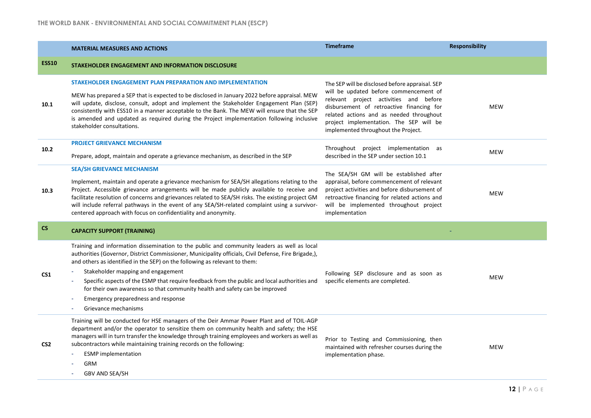|                 | <b>MATERIAL MEASURES AND ACTIONS</b>                                                                                                                                                                                                                                                                                                                                                                                                                                                                                                                                  | <b>Timeframe</b>                                                                                                                                                                                                                                                                                               | <b>Responsibility</b> |
|-----------------|-----------------------------------------------------------------------------------------------------------------------------------------------------------------------------------------------------------------------------------------------------------------------------------------------------------------------------------------------------------------------------------------------------------------------------------------------------------------------------------------------------------------------------------------------------------------------|----------------------------------------------------------------------------------------------------------------------------------------------------------------------------------------------------------------------------------------------------------------------------------------------------------------|-----------------------|
| <b>ESS10</b>    | STAKEHOLDER ENGAGEMENT AND INFORMATION DISCLOSURE                                                                                                                                                                                                                                                                                                                                                                                                                                                                                                                     |                                                                                                                                                                                                                                                                                                                |                       |
| 10.1            | STAKEHOLDER ENGAGEMENT PLAN PREPARATION AND IMPLEMENTATION<br>MEW has prepared a SEP that is expected to be disclosed in January 2022 before appraisal. MEW<br>will update, disclose, consult, adopt and implement the Stakeholder Engagement Plan (SEP)<br>consistently with ESS10 in a manner acceptable to the Bank. The MEW will ensure that the SEP<br>is amended and updated as required during the Project implementation following inclusive<br>stakeholder consultations.                                                                                    | The SEP will be disclosed before appraisal. SEP<br>will be updated before commencement of<br>relevant project activities and before<br>disbursement of retroactive financing for<br>related actions and as needed throughout<br>project implementation. The SEP will be<br>implemented throughout the Project. | <b>MEW</b>            |
| 10.2            | <b>PROJECT GRIEVANCE MECHANISM</b><br>Prepare, adopt, maintain and operate a grievance mechanism, as described in the SEP                                                                                                                                                                                                                                                                                                                                                                                                                                             | Throughout project implementation as<br>described in the SEP under section 10.1                                                                                                                                                                                                                                | <b>MEW</b>            |
| 10.3            | <b>SEA/SH GRIEVANCE MECHANISM</b><br>Implement, maintain and operate a grievance mechanism for SEA/SH allegations relating to the<br>Project. Accessible grievance arrangements will be made publicly available to receive and<br>facilitate resolution of concerns and grievances related to SEA/SH risks. The existing project GM<br>will include referral pathways in the event of any SEA/SH-related complaint using a survivor-<br>centered approach with focus on confidentiality and anonymity.                                                                | The SEA/SH GM will be established after<br>appraisal, before commencement of relevant<br>project activities and before disbursement of<br>retroactive financing for related actions and<br>will be implemented throughout project<br>implementation                                                            | <b>MEW</b>            |
| <b>CS</b>       | <b>CAPACITY SUPPORT (TRAINING)</b>                                                                                                                                                                                                                                                                                                                                                                                                                                                                                                                                    |                                                                                                                                                                                                                                                                                                                |                       |
| CS <sub>1</sub> | Training and information dissemination to the public and community leaders as well as local<br>authorities (Governor, District Commissioner, Municipality officials, Civil Defense, Fire Brigade,),<br>and others as identified in the SEP) on the following as relevant to them:<br>Stakeholder mapping and engagement<br>Specific aspects of the ESMP that require feedback from the public and local authorities and<br>for their own awareness so that community health and safety can be improved<br>Emergency preparedness and response<br>Grievance mechanisms | Following SEP disclosure and as soon as<br>specific elements are completed.                                                                                                                                                                                                                                    | <b>MEW</b>            |
| CS <sub>2</sub> | Training will be conducted for HSE managers of the Deir Ammar Power Plant and of TOIL-AGP<br>department and/or the operator to sensitize them on community health and safety; the HSE<br>managers will in turn transfer the knowledge through training employees and workers as well as<br>subcontractors while maintaining training records on the following:<br><b>ESMP</b> implementation<br>GRM<br>GBV AND SEA/SH                                                                                                                                                 | Prior to Testing and Commissioning, then<br>maintained with refresher courses during the<br>implementation phase.                                                                                                                                                                                              | <b>MEW</b>            |